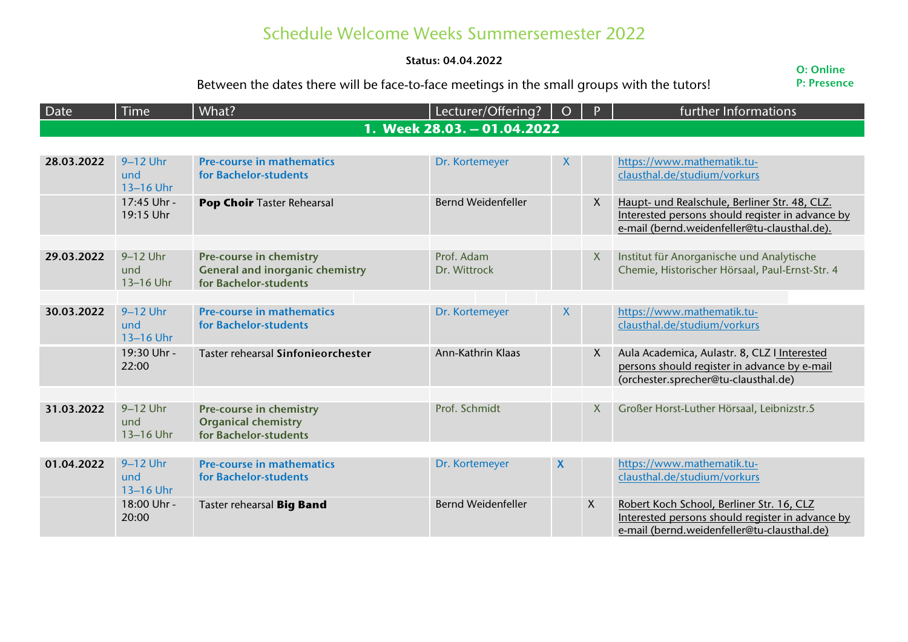## Schedule Welcome Weeks Summersemester 2022

## **Status: 04.04.2022**

## Between the dates there will be face-to-face meetings in the small groups with the tutors!

**O: Online P: Presence**

| Date                        | <b>Time</b>                    | What?                                                                                      | Lecturer/Offering?         | $\overline{O}$   | $\mathsf{P}$ | further Informations                                                                                                                              |  |
|-----------------------------|--------------------------------|--------------------------------------------------------------------------------------------|----------------------------|------------------|--------------|---------------------------------------------------------------------------------------------------------------------------------------------------|--|
| 1. Week 28.03. - 01.04.2022 |                                |                                                                                            |                            |                  |              |                                                                                                                                                   |  |
|                             |                                |                                                                                            |                            |                  |              |                                                                                                                                                   |  |
| 28.03.2022                  | $9-12$ Uhr<br>und<br>13-16 Uhr | <b>Pre-course in mathematics</b><br>for Bachelor-students                                  | Dr. Kortemeyer             | X                |              | https://www.mathematik.tu-<br>clausthal.de/studium/vorkurs                                                                                        |  |
|                             | 17:45 Uhr -<br>19:15 Uhr       | Pop Choir Taster Rehearsal                                                                 | <b>Bernd Weidenfeller</b>  |                  | X            | Haupt- und Realschule, Berliner Str. 48, CLZ.<br>Interested persons should register in advance by<br>e-mail (bernd.weidenfeller@tu-clausthal.de). |  |
| 29.03.2022                  | 9-12 Uhr<br>und<br>13-16 Uhr   | Pre-course in chemistry<br><b>General and inorganic chemistry</b><br>for Bachelor-students | Prof. Adam<br>Dr. Wittrock |                  | X            | Institut für Anorganische und Analytische<br>Chemie, Historischer Hörsaal, Paul-Ernst-Str. 4                                                      |  |
| 30.03.2022                  | 9-12 Uhr                       | <b>Pre-course in mathematics</b>                                                           |                            |                  |              |                                                                                                                                                   |  |
|                             | und<br>13-16 Uhr               | for Bachelor-students                                                                      | Dr. Kortemeyer             | $\boldsymbol{X}$ |              | https://www.mathematik.tu-<br>clausthal.de/studium/vorkurs                                                                                        |  |
|                             | 19:30 Uhr -<br>22:00           | Taster rehearsal Sinfonieorchester                                                         | Ann-Kathrin Klaas          |                  | X.           | Aula Academica, Aulastr. 8, CLZ I Interested<br>persons should register in advance by e-mail<br>(orchester.sprecher@tu-clausthal.de)              |  |
|                             |                                |                                                                                            |                            |                  |              |                                                                                                                                                   |  |
| 31.03.2022                  | 9-12 Uhr<br>und<br>13-16 Uhr   | Pre-course in chemistry<br><b>Organical chemistry</b><br>for Bachelor-students             | Prof. Schmidt              |                  | X            | Großer Horst-Luther Hörsaal, Leibnizstr.5                                                                                                         |  |
|                             |                                |                                                                                            |                            |                  |              |                                                                                                                                                   |  |
| 01.04.2022                  | 9-12 Uhr<br>und<br>13-16 Uhr   | <b>Pre-course in mathematics</b><br>for Bachelor-students                                  | Dr. Kortemeyer             | X                |              | https://www.mathematik.tu-<br>clausthal.de/studium/vorkurs                                                                                        |  |
|                             | 18:00 Uhr -<br>20:00           | Taster rehearsal Big Band                                                                  | <b>Bernd Weidenfeller</b>  |                  | X            | Robert Koch School, Berliner Str. 16, CLZ<br>Interested persons should register in advance by<br>e-mail (bernd.weidenfeller@tu-clausthal.de)      |  |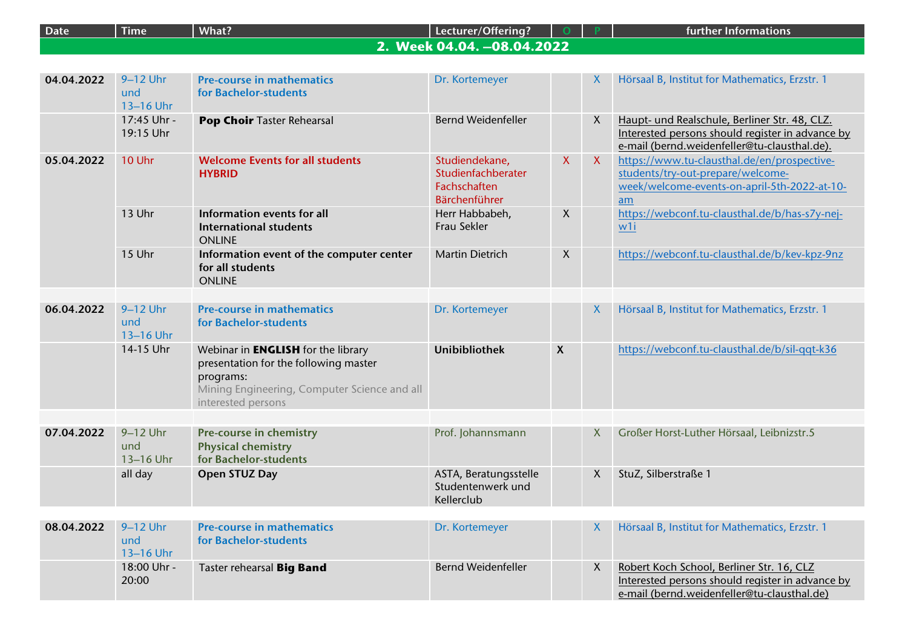| <b>Date</b> | <b>Time</b>                    | What?                                                                                                                                                                 | Lecturer/Offering?                                                    |                  |              | further Informations                                                                                                                              |
|-------------|--------------------------------|-----------------------------------------------------------------------------------------------------------------------------------------------------------------------|-----------------------------------------------------------------------|------------------|--------------|---------------------------------------------------------------------------------------------------------------------------------------------------|
|             |                                |                                                                                                                                                                       | 2. Week 04.04. -08.04.2022                                            |                  |              |                                                                                                                                                   |
|             |                                |                                                                                                                                                                       |                                                                       |                  |              |                                                                                                                                                   |
| 04.04.2022  | 9-12 Uhr<br>und<br>13-16 Uhr   | <b>Pre-course in mathematics</b><br>for Bachelor-students                                                                                                             | Dr. Kortemeyer                                                        |                  | х            | Hörsaal B, Institut for Mathematics, Erzstr. 1                                                                                                    |
|             | 17:45 Uhr -<br>19:15 Uhr       | Pop Choir Taster Rehearsal                                                                                                                                            | <b>Bernd Weidenfeller</b>                                             |                  | $\mathsf{X}$ | Haupt- und Realschule, Berliner Str. 48, CLZ.<br>Interested persons should register in advance by<br>e-mail (bernd.weidenfeller@tu-clausthal.de). |
| 05.04.2022  | 10 Uhr                         | <b>Welcome Events for all students</b><br><b>HYBRID</b>                                                                                                               | Studiendekane,<br>Studienfachberater<br>Fachschaften<br>Bärchenführer | $\mathsf{X}$     | $\mathsf{X}$ | https://www.tu-clausthal.de/en/prospective-<br>students/try-out-prepare/welcome-<br>week/welcome-events-on-april-5th-2022-at-10-<br>am            |
|             | 13 Uhr                         | Information events for all<br><b>International students</b><br><b>ONLINE</b>                                                                                          | Herr Habbabeh,<br>Frau Sekler                                         | $\boldsymbol{X}$ |              | https://webconf.tu-clausthal.de/b/has-s7y-nej-<br>w1i                                                                                             |
|             | 15 Uhr                         | Information event of the computer center<br>for all students<br><b>ONLINE</b>                                                                                         | Martin Dietrich                                                       | $\boldsymbol{X}$ |              | https://webconf.tu-clausthal.de/b/kev-kpz-9nz                                                                                                     |
|             |                                |                                                                                                                                                                       |                                                                       |                  |              |                                                                                                                                                   |
| 06.04.2022  | 9-12 Uhr<br>und<br>13-16 Uhr   | <b>Pre-course in mathematics</b><br>for Bachelor-students                                                                                                             | Dr. Kortemeyer                                                        |                  | X            | Hörsaal B, Institut for Mathematics, Erzstr. 1                                                                                                    |
|             | 14-15 Uhr                      | Webinar in <b>ENGLISH</b> for the library<br>presentation for the following master<br>programs:<br>Mining Engineering, Computer Science and all<br>interested persons | <b>Unibibliothek</b>                                                  | $\boldsymbol{X}$ |              | https://webconf.tu-clausthal.de/b/sil-qqt-k36                                                                                                     |
|             |                                |                                                                                                                                                                       |                                                                       |                  |              |                                                                                                                                                   |
| 07.04.2022  | 9-12 Uhr<br>und<br>13-16 Uhr   | Pre-course in chemistry<br><b>Physical chemistry</b><br>for Bachelor-students                                                                                         | Prof. Johannsmann                                                     |                  | $\mathsf{X}$ | Großer Horst-Luther Hörsaal, Leibnizstr.5                                                                                                         |
|             | all day                        | <b>Open STUZ Day</b>                                                                                                                                                  | ASTA, Beratungsstelle<br>Studentenwerk und<br>Kellerclub              |                  | X            | StuZ, Silberstraße 1                                                                                                                              |
|             |                                |                                                                                                                                                                       |                                                                       |                  |              |                                                                                                                                                   |
| 08.04.2022  | $9-12$ Uhr<br>und<br>13-16 Uhr | <b>Pre-course in mathematics</b><br>for Bachelor-students                                                                                                             | Dr. Kortemeyer                                                        |                  | х            | Hörsaal B, Institut for Mathematics, Erzstr. 1                                                                                                    |
|             | 18:00 Uhr -<br>20:00           | Taster rehearsal Big Band                                                                                                                                             | <b>Bernd Weidenfeller</b>                                             |                  | $\mathsf{X}$ | Robert Koch School, Berliner Str. 16, CLZ<br>Interested persons should register in advance by<br>e-mail (bernd.weidenfeller@tu-clausthal.de)      |